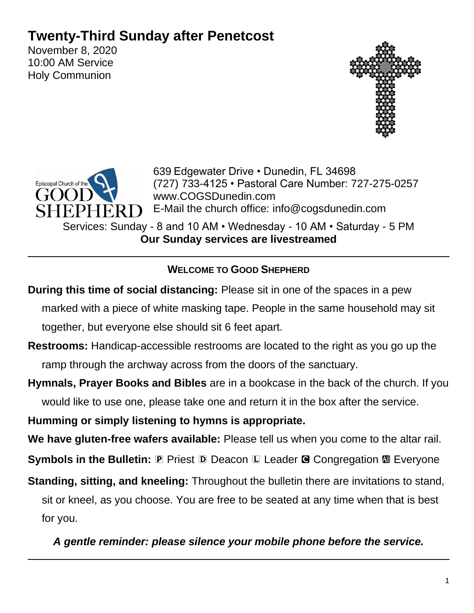# **Twenty-Third Sunday after Penetcost**

November 8, 2020 10:00 AM Service Holy Communion





639 Edgewater Drive • Dunedin, FL 34698 (727) 733-4125 • Pastoral Care Number: 727-275-0257 www.COGSDunedin.com E-Mail the church office: info@cogsdunedin.com

Services: Sunday - 8 and 10 AM • Wednesday - 10 AM • Saturday - 5 PM **Our Sunday services are livestreamed**

# **WELCOME TO GOOD SHEPHERD**

- **During this time of social distancing:** Please sit in one of the spaces in a pew marked with a piece of white masking tape. People in the same household may sit together, but everyone else should sit 6 feet apart.
- **Restrooms:** Handicap-accessible restrooms are located to the right as you go up the ramp through the archway across from the doors of the sanctuary.

**Hymnals, Prayer Books and Bibles** are in a bookcase in the back of the church. If you would like to use one, please take one and return it in the box after the service.

**Humming or simply listening to hymns is appropriate.**

**We have gluten-free wafers available:** Please tell us when you come to the altar rail.

**Symbols in the Bulletin: P Priest D Deacon L Leader <b>G** Congregation **M** Everyone

**Standing, sitting, and kneeling:** Throughout the bulletin there are invitations to stand, sit or kneel, as you choose. You are free to be seated at any time when that is best for you.

*A gentle reminder: please silence your mobile phone before the service.*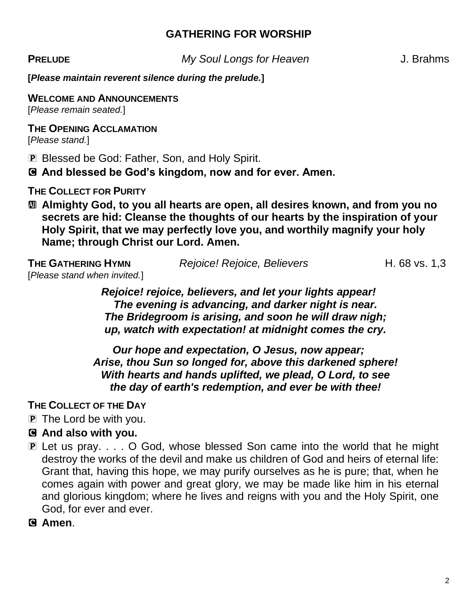#### **GATHERING FOR WORSHIP**

**PRELUDE** *My Soul Longs for Heaven* J. Brahms

**[***Please maintain reverent silence during the prelude.***]**

**WELCOME AND ANNOUNCEMENTS**

[*Please remain seated.*]

**THE OPENING ACCLAMATION** [*Please stand.*]

P Blessed be God: Father, Son, and Holy Spirit.

C **And blessed be God's kingdom, now and for ever. Amen.**

**THE COLLECT FOR PURITY**

a **Almighty God, to you all hearts are open, all desires known, and from you no secrets are hid: Cleanse the thoughts of our hearts by the inspiration of your Holy Spirit, that we may perfectly love you, and worthily magnify your holy Name; through Christ our Lord. Amen.**

| THE GATHERING HYMN              | Rejoice! Rejoice, Believers |
|---------------------------------|-----------------------------|
| IDleana standard when in it all |                             |

**H.** 68 vs. 1,3

[*Please stand when invited.*]

*Rejoice! rejoice, believers, and let your lights appear! The evening is advancing, and darker night is near. The Bridegroom is arising, and soon he will draw nigh; up, watch with expectation! at midnight comes the cry.* 

*Our hope and expectation, O Jesus, now appear; Arise, thou Sun so longed for, above this darkened sphere! With hearts and hands uplifted, we plead, O Lord, to see the day of earth's redemption, and ever be with thee!*

## **THE COLLECT OF THE DAY**

P The Lord be with you.

#### C **And also with you.**

- P Let us pray. . . . O God, whose blessed Son came into the world that he might destroy the works of the devil and make us children of God and heirs of eternal life: Grant that, having this hope, we may purify ourselves as he is pure; that, when he comes again with power and great glory, we may be made like him in his eternal and glorious kingdom; where he lives and reigns with you and the Holy Spirit, one God, for ever and ever.
- C **Amen**.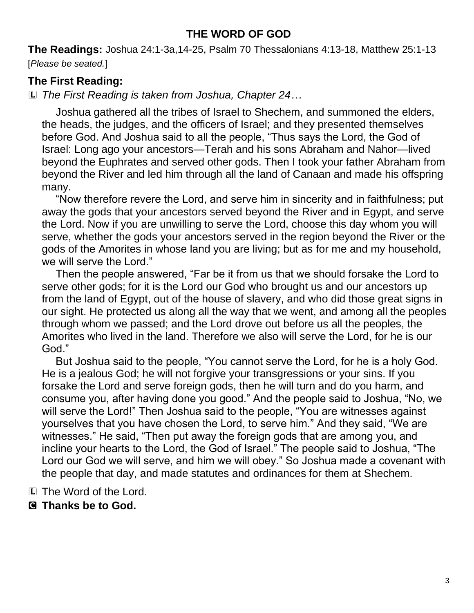#### **THE WORD OF GOD**

**The Readings:** Joshua 24:1-3a,14-25, Psalm 70 Thessalonians 4:13-18, Matthew 25:1-13 [*Please be seated.*]

## **The First Reading:**

L *The First Reading is taken from Joshua, Chapter 24…*

Joshua gathered all the tribes of Israel to Shechem, and summoned the elders, the heads, the judges, and the officers of Israel; and they presented themselves before God. And Joshua said to all the people, "Thus says the Lord, the God of Israel: Long ago your ancestors—Terah and his sons Abraham and Nahor—lived beyond the Euphrates and served other gods. Then I took your father Abraham from beyond the River and led him through all the land of Canaan and made his offspring many.

"Now therefore revere the Lord, and serve him in sincerity and in faithfulness; put away the gods that your ancestors served beyond the River and in Egypt, and serve the Lord. Now if you are unwilling to serve the Lord, choose this day whom you will serve, whether the gods your ancestors served in the region beyond the River or the gods of the Amorites in whose land you are living; but as for me and my household, we will serve the Lord."

Then the people answered, "Far be it from us that we should forsake the Lord to serve other gods; for it is the Lord our God who brought us and our ancestors up from the land of Egypt, out of the house of slavery, and who did those great signs in our sight. He protected us along all the way that we went, and among all the peoples through whom we passed; and the Lord drove out before us all the peoples, the Amorites who lived in the land. Therefore we also will serve the Lord, for he is our God."

But Joshua said to the people, "You cannot serve the Lord, for he is a holy God. He is a jealous God; he will not forgive your transgressions or your sins. If you forsake the Lord and serve foreign gods, then he will turn and do you harm, and consume you, after having done you good." And the people said to Joshua, "No, we will serve the Lord!" Then Joshua said to the people, "You are witnesses against yourselves that you have chosen the Lord, to serve him." And they said, "We are witnesses." He said, "Then put away the foreign gods that are among you, and incline your hearts to the Lord, the God of Israel." The people said to Joshua, "The Lord our God we will serve, and him we will obey." So Joshua made a covenant with the people that day, and made statutes and ordinances for them at Shechem.

L The Word of the Lord.

C **Thanks be to God.**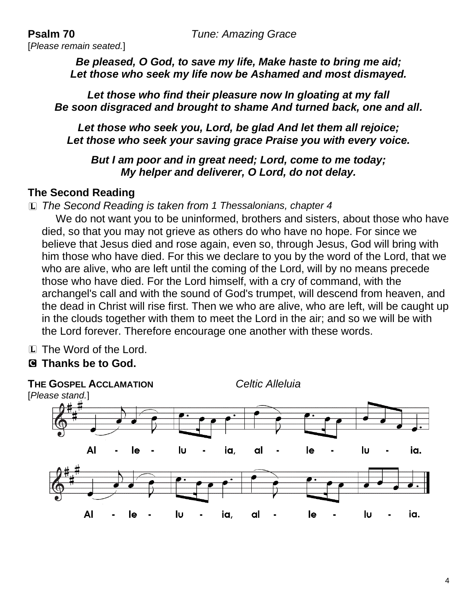[*Please remain seated.*]

*Be pleased, O God, to save my life, Make haste to bring me aid; Let those who seek my life now be Ashamed and most dismayed.*

Let those who find their pleasure now In gloating at my fall *Be soon disgraced and brought to shame And turned back, one and all.*

*Let those who seek you, Lord, be glad And let them all rejoice; Let those who seek your saving grace Praise you with every voice.*

*But I am poor and in great need; Lord, come to me today; My helper and deliverer, O Lord, do not delay.*

# **The Second Reading**

L *The Second Reading is taken from 1 Thessalonians, chapter 4*

We do not want you to be uninformed, brothers and sisters, about those who have died, so that you may not grieve as others do who have no hope. For since we believe that Jesus died and rose again, even so, through Jesus, God will bring with him those who have died. For this we declare to you by the word of the Lord, that we who are alive, who are left until the coming of the Lord, will by no means precede those who have died. For the Lord himself, with a cry of command, with the archangel's call and with the sound of God's trumpet, will descend from heaven, and the dead in Christ will rise first. Then we who are alive, who are left, will be caught up in the clouds together with them to meet the Lord in the air; and so we will be with the Lord forever. Therefore encourage one another with these words.

L The Word of the Lord.

C **Thanks be to God.**

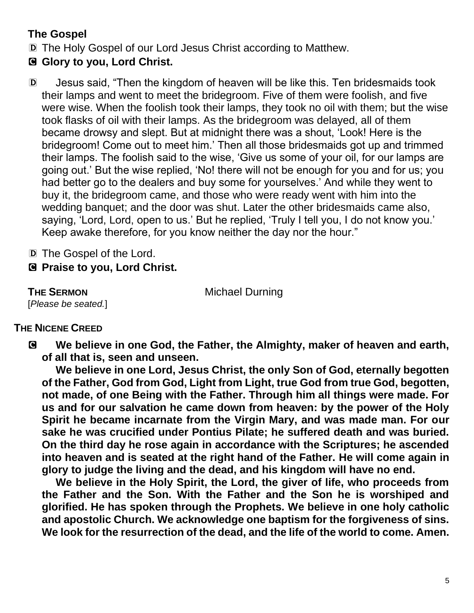# **The Gospel**

- D The Holy Gospel of our Lord Jesus Christ according to Matthew.
- C **Glory to you, Lord Christ.**
- D Jesus said, "Then the kingdom of heaven will be like this. Ten bridesmaids took their lamps and went to meet the bridegroom. Five of them were foolish, and five were wise. When the foolish took their lamps, they took no oil with them; but the wise took flasks of oil with their lamps. As the bridegroom was delayed, all of them became drowsy and slept. But at midnight there was a shout, 'Look! Here is the bridegroom! Come out to meet him.' Then all those bridesmaids got up and trimmed their lamps. The foolish said to the wise, 'Give us some of your oil, for our lamps are going out.' But the wise replied, 'No! there will not be enough for you and for us; you had better go to the dealers and buy some for yourselves.' And while they went to buy it, the bridegroom came, and those who were ready went with him into the wedding banquet; and the door was shut. Later the other bridesmaids came also, saying, 'Lord, Lord, open to us.' But he replied, 'Truly I tell you, I do not know you.' Keep awake therefore, for you know neither the day nor the hour."
- D The Gospel of the Lord.
- C **Praise to you, Lord Christ.**

**THE SERMON** Michael Durning [*Please be seated.*]

## **THE NICENE CREED**

C **We believe in one God, the Father, the Almighty, maker of heaven and earth, of all that is, seen and unseen.** 

**We believe in one Lord, Jesus Christ, the only Son of God, eternally begotten of the Father, God from God, Light from Light, true God from true God, begotten, not made, of one Being with the Father. Through him all things were made. For us and for our salvation he came down from heaven: by the power of the Holy Spirit he became incarnate from the Virgin Mary, and was made man. For our sake he was crucified under Pontius Pilate; he suffered death and was buried. On the third day he rose again in accordance with the Scriptures; he ascended into heaven and is seated at the right hand of the Father. He will come again in glory to judge the living and the dead, and his kingdom will have no end.**

**We believe in the Holy Spirit, the Lord, the giver of life, who proceeds from the Father and the Son. With the Father and the Son he is worshiped and glorified. He has spoken through the Prophets. We believe in one holy catholic and apostolic Church. We acknowledge one baptism for the forgiveness of sins. We look for the resurrection of the dead, and the life of the world to come. Amen.**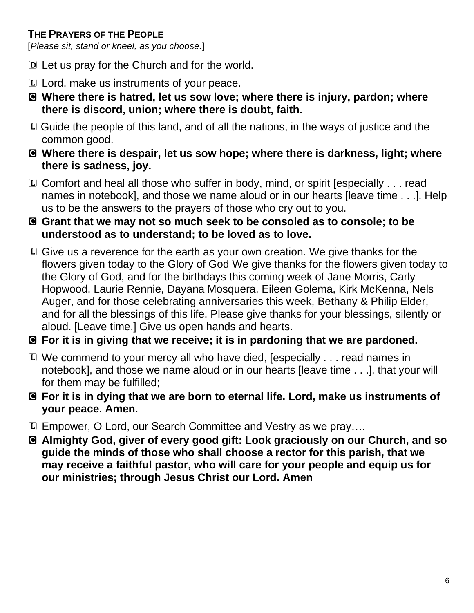# **THE PRAYERS OF THE PEOPLE**

[*Please sit, stand or kneel, as you choose.*]

- D Let us pray for the Church and for the world.
- L Lord, make us instruments of your peace.
- C **Where there is hatred, let us sow love; where there is injury, pardon; where there is discord, union; where there is doubt, faith.**
- L Guide the people of this land, and of all the nations, in the ways of justice and the common good.
- C **Where there is despair, let us sow hope; where there is darkness, light; where there is sadness, joy.**
- L Comfort and heal all those who suffer in body, mind, or spirit [especially . . . read names in notebook], and those we name aloud or in our hearts [leave time . . .]. Help us to be the answers to the prayers of those who cry out to you.
- C **Grant that we may not so much seek to be consoled as to console; to be understood as to understand; to be loved as to love.**
- L Give us a reverence for the earth as your own creation. We give thanks for the flowers given today to the Glory of God We give thanks for the flowers given today to the Glory of God, and for the birthdays this coming week of Jane Morris, Carly Hopwood, Laurie Rennie, Dayana Mosquera, Eileen Golema, Kirk McKenna, Nels Auger, and for those celebrating anniversaries this week, Bethany & Philip Elder, and for all the blessings of this life. Please give thanks for your blessings, silently or aloud. [Leave time.] Give us open hands and hearts.
- C **For it is in giving that we receive; it is in pardoning that we are pardoned.**
- L We commend to your mercy all who have died, [especially . . . read names in notebook], and those we name aloud or in our hearts [leave time . . .], that your will for them may be fulfilled;
- C **For it is in dying that we are born to eternal life. Lord, make us instruments of your peace. Amen.**
- L Empower, O Lord, our Search Committee and Vestry as we pray….
- C **Almighty God, giver of every good gift: Look graciously on our Church, and so guide the minds of those who shall choose a rector for this parish, that we may receive a faithful pastor, who will care for your people and equip us for our ministries; through Jesus Christ our Lord. Amen**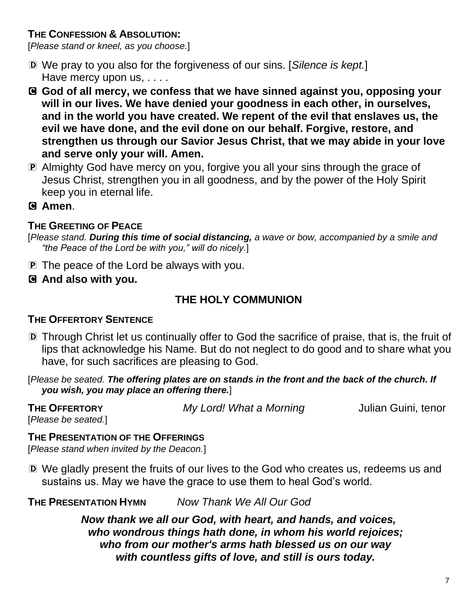## **THE CONFESSION & ABSOLUTION:**

[*Please stand or kneel, as you choose.*]

- D We pray to you also for the forgiveness of our sins. [*Silence is kept.*] Have mercy upon us, . . . .
- C **God of all mercy, we confess that we have sinned against you, opposing your will in our lives. We have denied your goodness in each other, in ourselves, and in the world you have created. We repent of the evil that enslaves us, the evil we have done, and the evil done on our behalf. Forgive, restore, and strengthen us through our Savior Jesus Christ, that we may abide in your love and serve only your will. Amen.**
- P Almighty God have mercy on you, forgive you all your sins through the grace of Jesus Christ, strengthen you in all goodness, and by the power of the Holy Spirit keep you in eternal life.
- C **Amen**.

## **THE GREETING OF PEACE**

[*Please stand. During this time of social distancing, a wave or bow, accompanied by a smile and "the Peace of the Lord be with you," will do nicely.*]

- P The peace of the Lord be always with you.
- C **And also with you.**

## **THE HOLY COMMUNION**

#### **THE OFFERTORY SENTENCE**

- D Through Christ let us continually offer to God the sacrifice of praise, that is, the fruit of lips that acknowledge his Name. But do not neglect to do good and to share what you have, for such sacrifices are pleasing to God.
- [*Please be seated. The offering plates are on stands in the front and the back of the church. If you wish, you may place an offering there.*]

| <b>THE OFFERTORY</b> | My Lord! What a Morning | Julian Guini, tenor |
|----------------------|-------------------------|---------------------|
| [Please be seated.]  |                         |                     |

#### **THE PRESENTATION OF THE OFFERINGS**

[*Please stand when invited by the Deacon.*]

D We gladly present the fruits of our lives to the God who creates us, redeems us and sustains us. May we have the grace to use them to heal God's world.

**THE PRESENTATION HYMN** *Now Thank We All Our God*

*Now thank we all our God, with heart, and hands, and voices, who wondrous things hath done, in whom his world rejoices; who from our mother's arms hath blessed us on our way with countless gifts of love, and still is ours today.*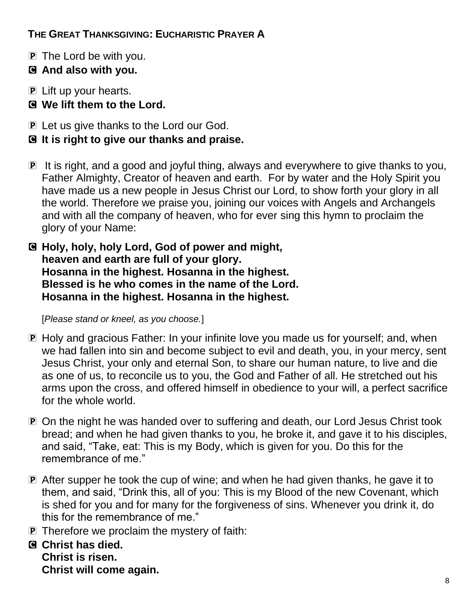# **THE GREAT THANKSGIVING: EUCHARISTIC PRAYER A**

- P The Lord be with you.
- C **And also with you.**
- P Lift up your hearts.
- C **We lift them to the Lord.**
- P Let us give thanks to the Lord our God.
- C **It is right to give our thanks and praise.**
- P It is right, and a good and joyful thing, always and everywhere to give thanks to you, Father Almighty, Creator of heaven and earth. For by water and the Holy Spirit you have made us a new people in Jesus Christ our Lord, to show forth your glory in all the world. Therefore we praise you, joining our voices with Angels and Archangels and with all the company of heaven, who for ever sing this hymn to proclaim the glory of your Name:
- C **Holy, holy, holy Lord, God of power and might, heaven and earth are full of your glory. Hosanna in the highest. Hosanna in the highest. Blessed is he who comes in the name of the Lord. Hosanna in the highest. Hosanna in the highest.**

[*Please stand or kneel, as you choose.*]

- P Holy and gracious Father: In your infinite love you made us for yourself; and, when we had fallen into sin and become subject to evil and death, you, in your mercy, sent Jesus Christ, your only and eternal Son, to share our human nature, to live and die as one of us, to reconcile us to you, the God and Father of all. He stretched out his arms upon the cross, and offered himself in obedience to your will, a perfect sacrifice for the whole world.
- P On the night he was handed over to suffering and death, our Lord Jesus Christ took bread; and when he had given thanks to you, he broke it, and gave it to his disciples, and said, "Take, eat: This is my Body, which is given for you. Do this for the remembrance of me."
- P After supper he took the cup of wine; and when he had given thanks, he gave it to them, and said, "Drink this, all of you: This is my Blood of the new Covenant, which is shed for you and for many for the forgiveness of sins. Whenever you drink it, do this for the remembrance of me."
- P Therefore we proclaim the mystery of faith:
- C **Christ has died. Christ is risen. Christ will come again.**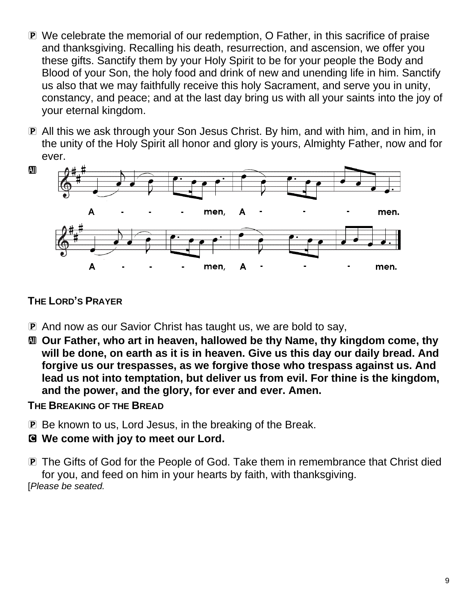- P We celebrate the memorial of our redemption, O Father, in this sacrifice of praise and thanksgiving. Recalling his death, resurrection, and ascension, we offer you these gifts. Sanctify them by your Holy Spirit to be for your people the Body and Blood of your Son, the holy food and drink of new and unending life in him. Sanctify us also that we may faithfully receive this holy Sacrament, and serve you in unity, constancy, and peace; and at the last day bring us with all your saints into the joy of your eternal kingdom.
- P All this we ask through your Son Jesus Christ. By him, and with him, and in him, in the unity of the Holy Spirit all honor and glory is yours, Almighty Father, now and for ever.



## **THE LORD'S PRAYER**

- P And now as our Savior Christ has taught us, we are bold to say,
- a **Our Father, who art in heaven, hallowed be thy Name, thy kingdom come, thy will be done, on earth as it is in heaven. Give us this day our daily bread. And forgive us our trespasses, as we forgive those who trespass against us. And lead us not into temptation, but deliver us from evil. For thine is the kingdom, and the power, and the glory, for ever and ever. Amen.**

#### **THE BREAKING OF THE BREAD**

- P Be known to us, Lord Jesus, in the breaking of the Break.
- C **We come with joy to meet our Lord.**
- P The Gifts of God for the People of God. Take them in remembrance that Christ died for you, and feed on him in your hearts by faith, with thanksgiving. [*Please be seated.*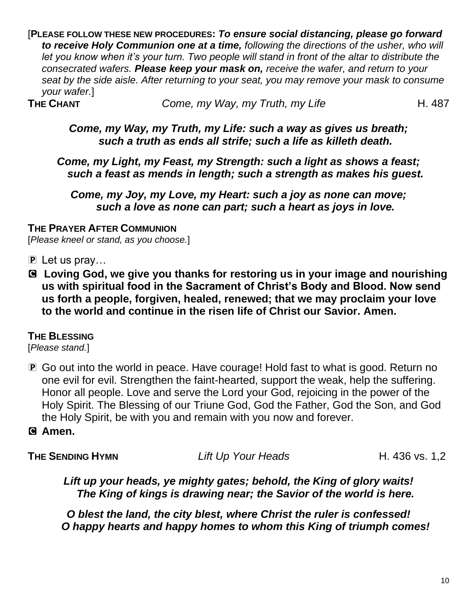[**PLEASE FOLLOW THESE NEW PROCEDURES:** *To ensure social distancing, please go forward to receive Holy Communion one at a time, following the directions of the usher, who will let you know when it's your turn. Two people will stand in front of the altar to distribute the consecrated wafers. Please keep your mask on, receive the wafer, and return to your seat by the side aisle. After returning to your seat, you may remove your mask to consume your wafer.*]

*Come, my Way, my Truth, my Life: such a way as gives us breath; such a truth as ends all strife; such a life as killeth death.*

*Come, my Light, my Feast, my Strength: such a light as shows a feast; such a feast as mends in length; such a strength as makes his guest.*

*Come, my Joy, my Love, my Heart: such a joy as none can move; such a love as none can part; such a heart as joys in love.*

#### **THE PRAYER AFTER COMMUNION**

[*Please kneel or stand, as you choose.*]

- P Let us pray…
- C **Loving God, we give you thanks for restoring us in your image and nourishing us with spiritual food in the Sacrament of Christ's Body and Blood. Now send us forth a people, forgiven, healed, renewed; that we may proclaim your love to the world and continue in the risen life of Christ our Savior. Amen.**

## **THE BLESSING**

[*Please stand.*]

P Go out into the world in peace. Have courage! Hold fast to what is good. Return no one evil for evil. Strengthen the faint-hearted, support the weak, help the suffering. Honor all people. Love and serve the Lord your God, rejoicing in the power of the Holy Spirit. The Blessing of our Triune God, God the Father, God the Son, and God the Holy Spirit, be with you and remain with you now and forever.

## C **Amen.**

**THE SENDING HYMN** *Lift Up Your Heads* **H. 436 vs. 1,2** 

*Lift up your heads, ye mighty gates; behold, the King of glory waits! The King of kings is drawing near; the Savior of the world is here.*

*O blest the land, the city blest, where Christ the ruler is confessed! O happy hearts and happy homes to whom this King of triumph comes!*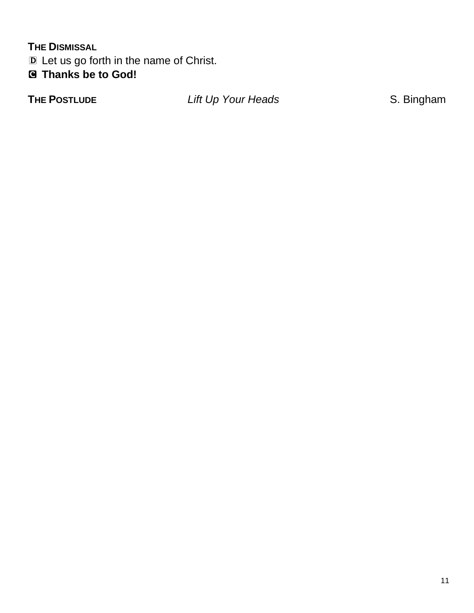**THE DISMISSAL**  D Let us go forth in the name of Christ. C **Thanks be to God!** 

**THE POSTLUDE** *Lift Up Your Heads* S. Bingham